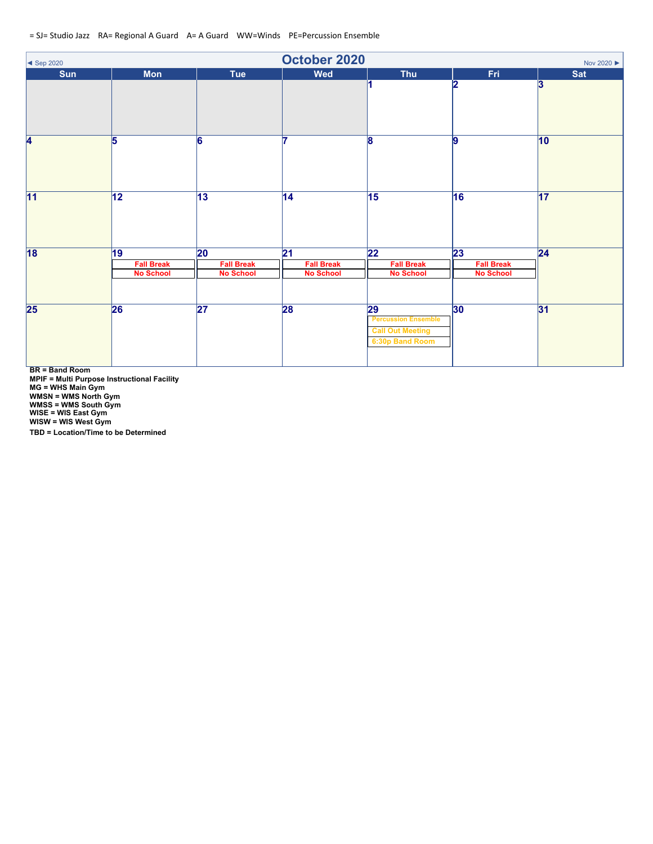| October 2020<br>Nov 2020 ▶<br>$\blacktriangleleft$ Sep 2020 |                                             |                                                          |                                                          |                                                                                             |                                                          |                 |  |
|-------------------------------------------------------------|---------------------------------------------|----------------------------------------------------------|----------------------------------------------------------|---------------------------------------------------------------------------------------------|----------------------------------------------------------|-----------------|--|
| Sun                                                         | Mon                                         | Tue                                                      | <b>Wed</b>                                               | Thu                                                                                         | Fri                                                      | Sat             |  |
|                                                             |                                             |                                                          |                                                          |                                                                                             | 2                                                        | $\mathbf{3}$    |  |
| 4                                                           | 15                                          | 6                                                        |                                                          | 8                                                                                           | $\overline{9}$                                           | $ 10\rangle$    |  |
| 11                                                          | 12                                          | $\overline{13}$                                          | $\overline{14}$                                          | $\overline{15}$                                                                             | 16                                                       | $\overline{17}$ |  |
| $\overline{18}$                                             | 19<br><b>Fall Break</b><br><b>No School</b> | $\overline{20}$<br><b>Fall Break</b><br><b>No School</b> | $\overline{21}$<br><b>Fall Break</b><br><b>No School</b> | $\overline{22}$<br><b>Fall Break</b><br><b>No School</b>                                    | $\overline{23}$<br><b>Fall Break</b><br><b>No School</b> | $\overline{24}$ |  |
| $\overline{\mathbf{25}}$                                    | 26                                          | $\overline{27}$                                          | 28                                                       | $\overline{29}$<br><b>Percussion Ensemble</b><br><b>Call Out Meeting</b><br>6:30p Band Room | 30                                                       | 31              |  |

**BR = Band Room**

**MPIF = Multi Purpose Instructional Facility MG = WHS Main Gym**

**WMSN = WMS North Gym**

**WMSS = WMS South Gym WISE = WIS East Gym**

**WISW = WIS West Gym**

**TBD = Location/Time to be Determined**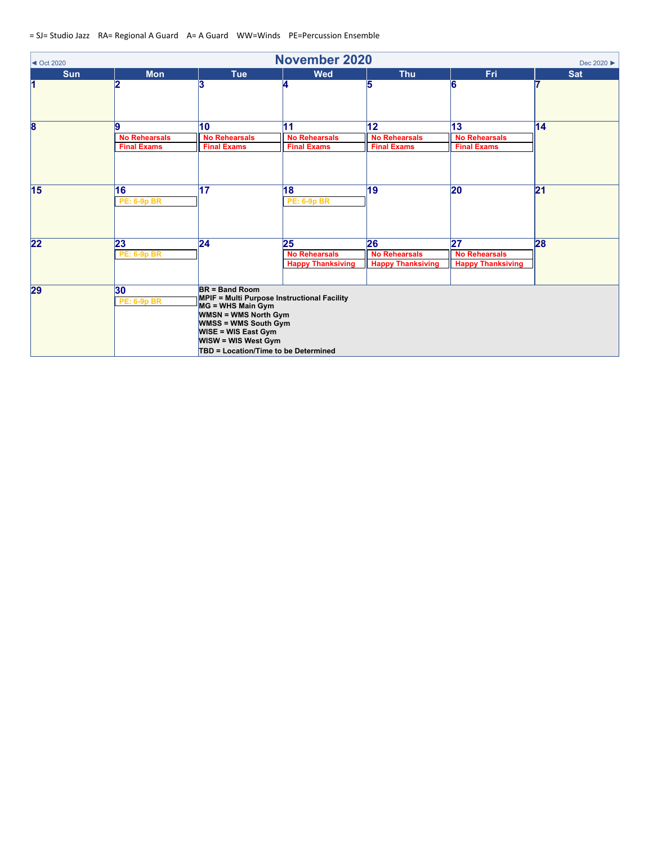| $\blacktriangleleft$ Oct 2020 | <b>November 2020</b><br>Dec 2020 ▶ |                                                                                                                                                                                                                                                        |                                       |                            |                            |                 |  |  |
|-------------------------------|------------------------------------|--------------------------------------------------------------------------------------------------------------------------------------------------------------------------------------------------------------------------------------------------------|---------------------------------------|----------------------------|----------------------------|-----------------|--|--|
| <b>Sun</b>                    | <b>Mon</b>                         | <b>Tue</b>                                                                                                                                                                                                                                             | <b>Wed</b>                            | <b>Thu</b>                 | <b>Fri</b>                 | <b>Sat</b>      |  |  |
| 1                             | 12                                 | 3                                                                                                                                                                                                                                                      | 4                                     |                            | 6                          |                 |  |  |
| $\overline{\mathbf{8}}$       | 19                                 | 10                                                                                                                                                                                                                                                     | 11                                    | 12                         | 13                         | 14              |  |  |
|                               | <b>No Rehearsals</b>               | <b>No Rehearsals</b>                                                                                                                                                                                                                                   | <b>No Rehearsals</b>                  | <b>No Rehearsals</b>       | <b>No Rehearsals</b>       |                 |  |  |
|                               | <b>Final Exams</b>                 | <b>Final Exams</b>                                                                                                                                                                                                                                     | <b>Final Exams</b>                    | <b>Final Exams</b>         | <b>Final Exams</b>         |                 |  |  |
| 15                            | 16<br><b>PE: 6-9p BR</b>           | $\overline{17}$                                                                                                                                                                                                                                        | $\overline{18}$<br><b>PE: 6-9p BR</b> | 19                         | 20                         | $\overline{21}$ |  |  |
| 22                            | 23<br><b>PE: 6-9p BR</b>           | $\overline{24}$                                                                                                                                                                                                                                        | 25<br><b>No Rehearsals</b>            | 26<br><b>No Rehearsals</b> | 27<br><b>No Rehearsals</b> | 28              |  |  |
|                               |                                    |                                                                                                                                                                                                                                                        | <b>Happy Thanksiving</b>              | <b>Happy Thanksiving</b>   | <b>Happy Thanksiving</b>   |                 |  |  |
| 29                            | 30 <br><b>PE: 6-9p BR</b>          | $BR = Band Room$<br><b>MPIF = Multi Purpose Instructional Facility</b><br>MG = WHS Main Gym<br><b>WMSN = WMS North Gym</b><br><b>WMSS = WMS South Gym</b><br><b>WISE = WIS East Gym</b><br>WISW = WIS West Gym<br>TBD = Location/Time to be Determined |                                       |                            |                            |                 |  |  |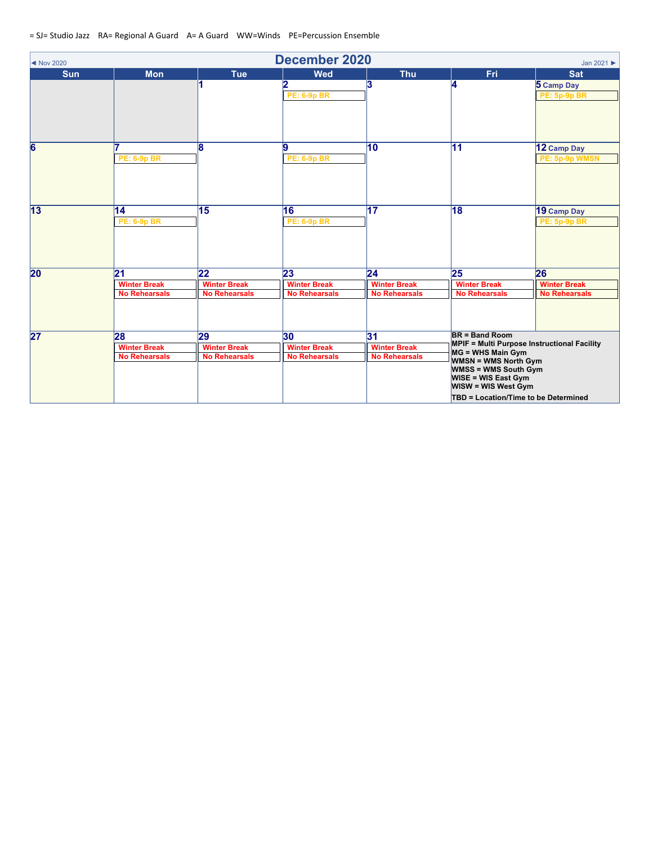| Mov 2020        |                                                                |                                                   | <b>December 2020</b>                              |                                                                |                                                                                                                                                                                                                                                                    | Jan 2021                                          |
|-----------------|----------------------------------------------------------------|---------------------------------------------------|---------------------------------------------------|----------------------------------------------------------------|--------------------------------------------------------------------------------------------------------------------------------------------------------------------------------------------------------------------------------------------------------------------|---------------------------------------------------|
| <b>Sun</b>      | <b>Mon</b>                                                     | <b>Tue</b>                                        | Wed<br>12<br><b>PE: 6-9p BR</b>                   | <b>Thu</b><br>13                                               | Fri<br>L                                                                                                                                                                                                                                                           | <b>Sat</b><br>5 Camp Day<br><b>PE: 5p-9p BR</b>   |
| $6\overline{6}$ | <b>PE: 6-9p BR</b>                                             | 8                                                 | 9<br><b>PE: 6-9p BR</b>                           | $\overline{10}$                                                | 11                                                                                                                                                                                                                                                                 | 12 Camp Day<br>PE: 5p-9p WMSN                     |
| $\overline{13}$ | 14<br><b>PE: 6-9p BR</b>                                       | 15                                                | 16<br><b>PE: 6-9p BR</b>                          | $\overline{17}$                                                | 18                                                                                                                                                                                                                                                                 | 19 Camp Day<br>PE: 5p-9p BR                       |
| 20              | $\overline{21}$<br><b>Winter Break</b><br><b>No Rehearsals</b> | 22<br><b>Winter Break</b><br><b>No Rehearsals</b> | 23<br><b>Winter Break</b><br><b>No Rehearsals</b> | $\overline{24}$<br><b>Winter Break</b><br><b>No Rehearsals</b> | 25<br><b>Winter Break</b><br><b>No Rehearsals</b>                                                                                                                                                                                                                  | 26<br><b>Winter Break</b><br><b>No Rehearsals</b> |
| $\overline{27}$ | 28<br><b>Winter Break</b><br><b>No Rehearsals</b>              | 29<br><b>Winter Break</b><br><b>No Rehearsals</b> | 30<br><b>Winter Break</b><br><b>No Rehearsals</b> | 31<br><b>Winter Break</b><br><b>No Rehearsals</b>              | <b>BR = Band Room</b><br><b>MPIF = Multi Purpose Instructional Facility</b><br>MG = WHS Main Gym<br><b>WMSN = WMS North Gym</b><br><b>WMSS = WMS South Gym</b><br><b>WISE = WIS East Gym</b><br><b>WISW = WIS West Gym</b><br>TBD = Location/Time to be Determined |                                                   |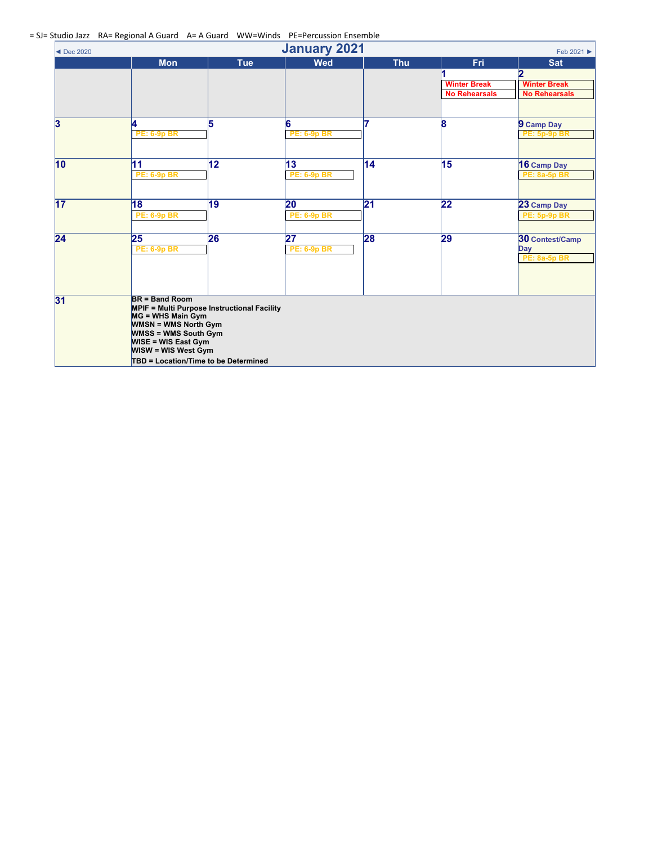= SJ= Studio Jazz RA= Regional A Guard A= A Guard WW=Winds PE=Percussion Ensemble

| $\frac{1}{2}$<br><b>January 2021</b><br>Feb 2021 ▶<br>$\blacktriangleleft$ Dec 2020 |                                                                                                                                                                      |                                                                                            |                                       |                 |                                             |                                                      |  |
|-------------------------------------------------------------------------------------|----------------------------------------------------------------------------------------------------------------------------------------------------------------------|--------------------------------------------------------------------------------------------|---------------------------------------|-----------------|---------------------------------------------|------------------------------------------------------|--|
|                                                                                     | <b>Mon</b>                                                                                                                                                           | <b>Tue</b>                                                                                 | <b>Wed</b>                            | <b>Thu</b>      | <b>Fri</b>                                  | <b>Sat</b><br>2                                      |  |
|                                                                                     |                                                                                                                                                                      |                                                                                            |                                       |                 | <b>Winter Break</b><br><b>No Rehearsals</b> | <b>Winter Break</b><br><b>No Rehearsals</b>          |  |
| $\overline{\mathbf{3}}$                                                             | 4<br><b>PE: 6-9p BR</b>                                                                                                                                              | 5                                                                                          | 6<br><b>PE: 6-9p BR</b>               |                 | 8                                           | 9 Camp Day<br><b>PE: 5p-9p BR</b>                    |  |
| $\overline{10}$                                                                     | 11<br><b>PE: 6-9p BR</b>                                                                                                                                             | 12                                                                                         | $ 13\rangle$<br><b>PE: 6-9p BR</b>    | $ 14\rangle$    | 15                                          | 16 Camp Day<br><b>PE: 8a-5p BR</b>                   |  |
| 17                                                                                  | $\overline{18}$<br><b>PE: 6-9p BR</b>                                                                                                                                | $\overline{19}$                                                                            | $ 20\rangle$<br><b>PE: 6-9p BR</b>    | $\overline{21}$ | 22                                          | 23 Camp Day<br><b>PE: 5p-9p BR</b>                   |  |
| $\overline{24}$                                                                     | 25<br><b>PE: 6-9p BR</b>                                                                                                                                             | 26                                                                                         | $\overline{27}$<br><b>PE: 6-9p BR</b> | 28              | 29                                          | 30 Contest/Camp<br><b>Day</b><br><b>PE: 8a-5p BR</b> |  |
| $\overline{31}$                                                                     | <b>BR</b> = Band Room<br>MG = WHS Main Gym<br><b>WMSN = WMS North Gym</b><br><b>WMSS = WMS South Gym</b><br><b>WISE = WIS East Gym</b><br><b>WISW = WIS West Gym</b> | <b>MPIF = Multi Purpose Instructional Facility</b><br>TBD = Location/Time to be Determined |                                       |                 |                                             |                                                      |  |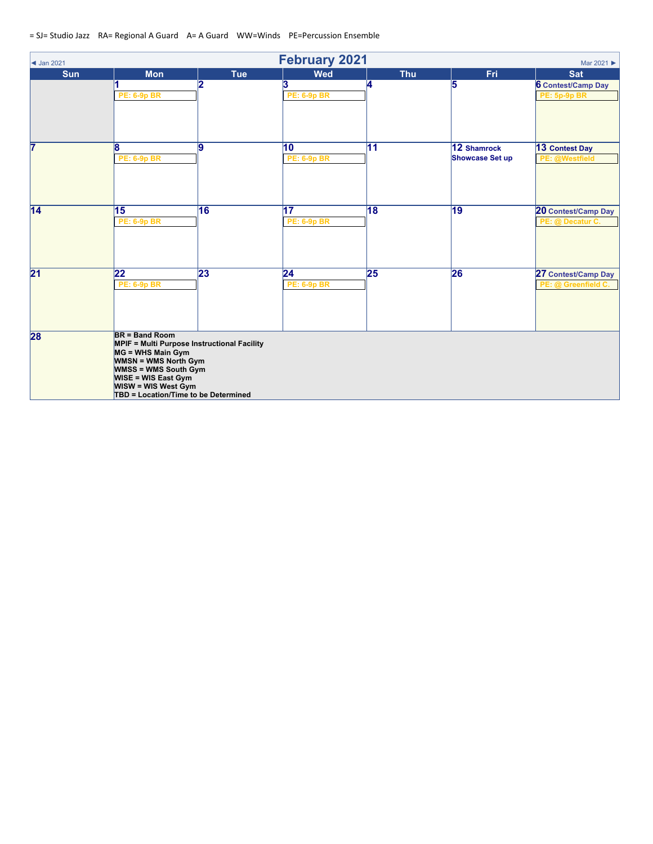| <b>February 2021</b><br>$\blacktriangleleft$ Jan 2021<br>Mar 2021 ▶ |                                                                                                                                                                                                                                                                    |            |                                       |                 |                                       |                                                  |  |  |
|---------------------------------------------------------------------|--------------------------------------------------------------------------------------------------------------------------------------------------------------------------------------------------------------------------------------------------------------------|------------|---------------------------------------|-----------------|---------------------------------------|--------------------------------------------------|--|--|
| <b>Sun</b>                                                          | <b>Mon</b>                                                                                                                                                                                                                                                         | <b>Tue</b> | <b>Wed</b>                            | <b>Thu</b>      | Fri                                   | <b>Sat</b>                                       |  |  |
|                                                                     | <b>PE: 6-9p BR</b>                                                                                                                                                                                                                                                 | 12         | 3<br><b>PE: 6-9p BR</b>               | 14              | 5                                     | <b>6</b> Contest/Camp Day<br><b>PE: 5p-9p BR</b> |  |  |
| 7                                                                   | 18<br><b>PE: 6-9p BR</b>                                                                                                                                                                                                                                           | 19         | 10<br><b>PE: 6-9p BR</b>              | 11              | 12 Shamrock<br><b>Showcase Set up</b> | 13 Contest Day<br>PE: @Westfield                 |  |  |
| $\overline{14}$                                                     | 15<br><b>PE: 6-9p BR</b>                                                                                                                                                                                                                                           | 16         | $\overline{17}$<br><b>PE: 6-9p BR</b> | $\overline{18}$ | 19                                    | 20 Contest/Camp Day<br>PE: @ Decatur C.          |  |  |
| $\overline{21}$                                                     | 22<br><b>PE: 6-9p BR</b>                                                                                                                                                                                                                                           | 23         | $\overline{24}$<br><b>PE: 6-9p BR</b> | 25              | 26                                    | 27 Contest/Camp Day<br>PE: @ Greenfield C.       |  |  |
| 28                                                                  | <b>BR = Band Room</b><br><b>MPIF = Multi Purpose Instructional Facility</b><br>MG = WHS Main Gym<br><b>WMSN = WMS North Gym</b><br><b>WMSS = WMS South Gym</b><br><b>WISE = WIS East Gym</b><br><b>WISW = WIS West Gym</b><br>TBD = Location/Time to be Determined |            |                                       |                 |                                       |                                                  |  |  |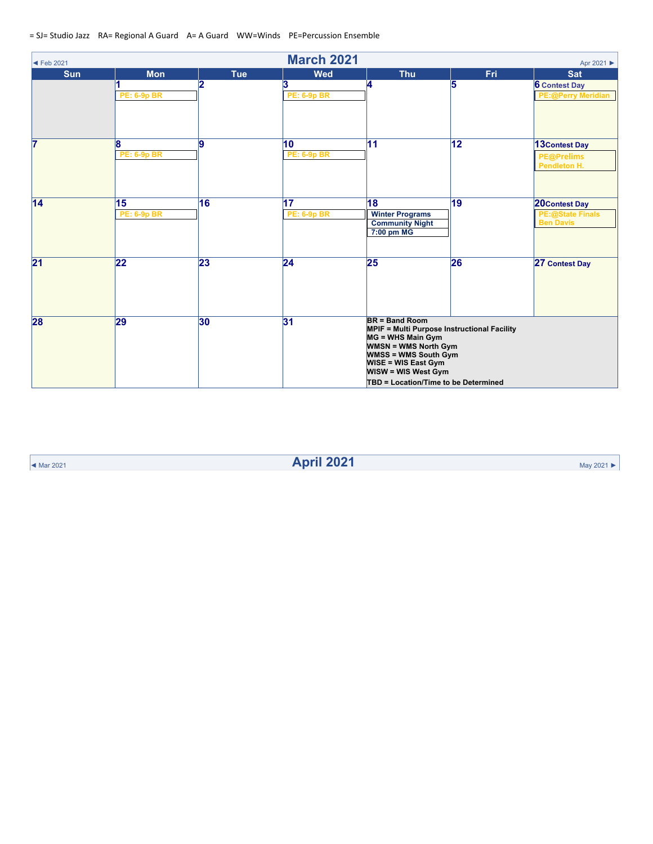| $\blacktriangleleft$ Feb 2021 |                          |            | <b>March 2021</b>                     |                                                                                                                                                                                                                                                                    |                 | Apr 2021 ▶                                                          |  |
|-------------------------------|--------------------------|------------|---------------------------------------|--------------------------------------------------------------------------------------------------------------------------------------------------------------------------------------------------------------------------------------------------------------------|-----------------|---------------------------------------------------------------------|--|
| <b>Sun</b>                    | <b>Mon</b>               | <b>Tue</b> | <b>Wed</b>                            | <b>Thu</b>                                                                                                                                                                                                                                                         | <b>Fri</b>      | <b>Sat</b>                                                          |  |
|                               | <b>PE: 6-9p BR</b>       |            | 3<br><b>PE: 6-9p BR</b>               | 4                                                                                                                                                                                                                                                                  | 5               | <b>6 Contest Day</b><br><b>PE:@Perry Meridian</b>                   |  |
| $\overline{7}$                | 18<br><b>PE: 6-9p BR</b> | g          | $\overline{10}$<br><b>PE: 6-9p BR</b> | $\overline{11}$                                                                                                                                                                                                                                                    | $\overline{12}$ | 13 Contest Day<br><b>PE@Prelims</b><br>Pendleton H.                 |  |
| $\overline{14}$               | 15<br><b>PE: 6-9p BR</b> | 16         | 17<br><b>PE: 6-9p BR</b>              | 18<br><b>Winter Programs</b><br><b>Community Night</b><br>7:00 pm MG                                                                                                                                                                                               | $\overline{19}$ | <b>20Contest Day</b><br><b>PE:@State Finals</b><br><b>Ben Davis</b> |  |
| $\overline{21}$               | 22                       | 23         | $\overline{24}$                       | 25                                                                                                                                                                                                                                                                 | 26              | 27 Contest Day                                                      |  |
| 28                            | 29                       | 30         | 31                                    | <b>BR</b> = Band Room<br><b>MPIF = Multi Purpose Instructional Facility</b><br>MG = WHS Main Gym<br><b>WMSN = WMS North Gym</b><br><b>WMSS = WMS South Gym</b><br><b>WISE = WIS East Gym</b><br><b>WISW = WIS West Gym</b><br>TBD = Location/Time to be Determined |                 |                                                                     |  |

◄ Mar <sup>2021</sup> **April 2021** May <sup>2021</sup> ►